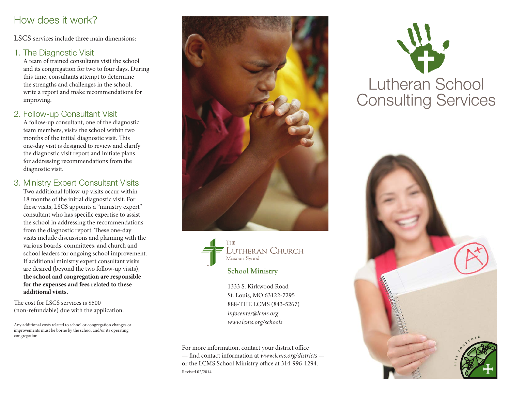## How does it work?

LSCS services include three main dimensions:

#### 1. The Diagnostic Visit

A team of trained consultants visit the school and its congregation for two to four days. During this time, consultants attempt to determine the strengths and challenges in the school, write a report and make recommendations for improving.

2. Follow-up Consultant Visit

A follow-up consultant, one of the diagnostic team members, visits the school within two months of the initial diagnostic visit. This one-day visit is designed to review and clarify the diagnostic visit report and initiate plans for addressing recommendations from the diagnostic visit.

3. Ministry Expert Consultant Visits Two additional follow-up visits occur within 18 months of the initial diagnostic visit. For these visits, LSCS appoints a "ministry expert" consultant who has specific expertise to assist the school in addressing the recommendations from the diagnostic report. These one-day visits include discussions and planning with the various boards, committees, and church and school leaders for ongoing school improvement. If additional ministry expert consultant visits are desired (beyond the two follow-up visits), **the school and congregation are responsible for the expenses and fees related to these additional visits.**

The cost for LSCS services is \$500 (non-refundable) due with the application.

Any additional costs related to school or congregation changes or improvements must be borne by the school and/or its operating congregation.





**School Ministry**

1333 S. Kirkwood Road St. Louis, MO 63122-7295 888-THE LCMS (843-5267) *infocenter@lcms.org www.lcms.org/schools*

For more information, contact your district office — find contact information at *www.lcms.org/districts* or the LCMS School Ministry office at 314-996-1294. Revised 02/2014